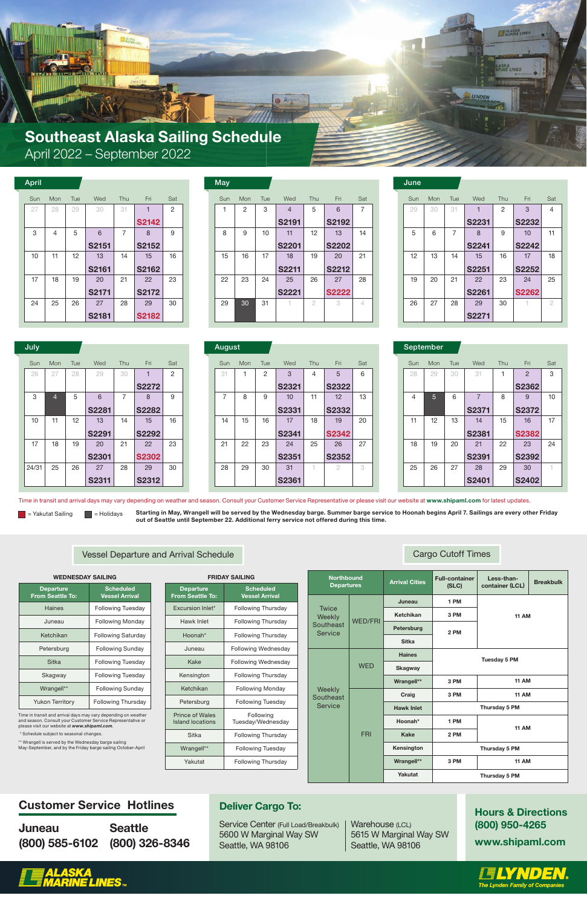# Customer Service Hotlines

| <b>Juneau</b>                 | <b>Seattle</b> |
|-------------------------------|----------------|
| (800) 585-6102 (800) 326-8346 |                |

Hours & Directions (800) 950-4265 www.shipaml.com





Time in transit and arrival days may vary depending on weather and season. Consult your Customer Service Representative or please visit our website at *www.shipaml.com*.

\* Schedule subject to seasonal changes.

| 111271                                            | <u>oniling</u>                            |
|---------------------------------------------------|-------------------------------------------|
| <b>Departure</b><br><b>From Seattle To:</b>       | <b>Scheduled</b><br><b>Vessel Arrival</b> |
| <b>Excursion Inlet*</b>                           | <b>Following Thursday</b>                 |
| Hawk Inlet                                        | <b>Following Thursday</b>                 |
| Hoonah*                                           | <b>Following Thursday</b>                 |
| Juneau                                            | Following Wednesday                       |
| Kake                                              | <b>Following Wednesday</b>                |
| Kensington                                        | <b>Following Thursday</b>                 |
| Ketchikan                                         | <b>Following Monday</b>                   |
| Petersburg                                        | <b>Following Tuesday</b>                  |
| <b>Prince of Wales</b><br><b>Island locations</b> | Following<br>Tuesday/Wednesday            |
| Sitka                                             | <b>Following Thursday</b>                 |
| Wrangell**                                        | <b>Following Tuesday</b>                  |
| Yakutat                                           | <b>Following Thursday</b>                 |
|                                                   |                                           |

\*\* Wrangell is served by the Wednesday barge sailing May-September, and by the Friday barge sailing October-April

#### Arrival Cities Full-container (SLC) Less-than-Northbound Arrival Cities Full-container Less-than-<br>Departures Arrival Cities (SLC) container (LCL) Breakbulk **Departures** Twice Weekly Southeast Service WED/FRI WED Juneau Ketchikan Petersburg Sitka **Haines** 1 PM 3 PM 2 PM 11 AM Tuesday 5 PM

Service Center (Full Load/Breakbulk) 5600 W Marginal Way SW Seattle, WA 98106

Warehouse (LCL) 5615 W Marginal Way SW Seattle, WA 98106

| <b>WEDNESDAY SAILING</b>                    |                                           |  |  |  |  |
|---------------------------------------------|-------------------------------------------|--|--|--|--|
| <b>Departure</b><br><b>From Seattle To:</b> | <b>Scheduled</b><br><b>Vessel Arrival</b> |  |  |  |  |
| Haines                                      | <b>Following Tuesday</b>                  |  |  |  |  |
| Juneau                                      | <b>Following Monday</b>                   |  |  |  |  |
| Ketchikan                                   | <b>Following Saturday</b>                 |  |  |  |  |
| Petersburg                                  | <b>Following Sunday</b>                   |  |  |  |  |
| Sitka                                       | <b>Following Tuesday</b>                  |  |  |  |  |
| Skagway                                     | <b>Following Tuesday</b>                  |  |  |  |  |
| Wrangell**                                  | <b>Following Sunday</b>                   |  |  |  |  |
| <b>Yukon Territory</b>                      | <b>Following Thursday</b>                 |  |  |  |  |

### **FRIDAY SAILING**

|           | <b>VVED</b> | <b>Skagway</b>    |      |               |
|-----------|-------------|-------------------|------|---------------|
|           |             | Wrangell**        | 3 PM | <b>11 AM</b>  |
| ly<br>ast |             | Craig             | 3 PM | <b>11 AM</b>  |
| cе        |             | <b>Hawk Inlet</b> |      | Thursday 5 PM |
|           |             | Hoonah*           | 1 PM | <b>11 AM</b>  |
|           | <b>FRI</b>  | <b>Kake</b>       | 2 PM |               |
|           |             | Kensington        |      | Thursday 5 PM |
|           |             | Wrangell**        | 3 PM | <b>11 AM</b>  |
|           |             | <b>Yakutat</b>    |      | Thursday 5 PM |

Starting = Holidays Starting in May, Wrangell will be served by the Wednesday barge. Summer barge service to Hoonah begins April 7. Sailings are every other Friday out of Seattle until September 22. Additional ferry service not offered during this time.

> Week Southe Servio

# Vessel Departure and Arrival Schedule Cargo Cutoff Times Cargo Cutoff Times

# Deliver Cargo To:



| <b>April</b> |     |     |              |     |              |     | <b>May</b> |     |     |                |            |              |     | June |
|--------------|-----|-----|--------------|-----|--------------|-----|------------|-----|-----|----------------|------------|--------------|-----|------|
| Sun          | Mon | Tue | Wed          | Thu | Fri          | Sat | Sun        | Mon | Tue | Wed            | <b>Thu</b> | Fri          | Sat | Sun  |
| 27           | 28  | 29  | 30           | 31  |              | 2   |            | 2   | 3   | $\overline{4}$ | 5          | 6            | 7   | 29   |
|              |     |     |              |     | <b>S2142</b> |     |            |     |     | <b>S2191</b>   |            | <b>S2192</b> |     |      |
| 3            | 4   | 5   | 6            | 7   | 8            | 9   | 8          | 9   | 10  | 11             | 12         | 13           | 14  | 5    |
|              |     |     | <b>S2151</b> |     | <b>S2152</b> |     |            |     |     | <b>S2201</b>   |            | <b>S2202</b> |     |      |
| 10           | 11  | 12  | 13           | 14  | 15           | 16  | 15         | 16  | 17  | 18             | 19         | 20           | 21  | 12   |
|              |     |     | <b>S2161</b> |     | <b>S2162</b> |     |            |     |     | <b>S2211</b>   |            | <b>S2212</b> |     |      |
| 17           | 18  | 19  | 20           | 21  | 22           | 23  | 22         | 23  | 24  | 25             | 26         | 27           | 28  | 19   |
|              |     |     | <b>S2171</b> |     | <b>S2172</b> |     |            |     |     | <b>S2221</b>   |            | <b>S2222</b> |     |      |
| 24           | 25  | 26  | 27           | 28  | 29           | 30  | 29         | 30  | 31  |                | 2          | 3            | 4   | 26   |
|              |     |     | <b>S2181</b> |     | <b>S2182</b> |     |            |     |     |                |            |              |     |      |

| May |
|-----|
|-----|

| July  |     |     |              |     |              |     |  | August         |     |     |              |     |              |     |     | September      |
|-------|-----|-----|--------------|-----|--------------|-----|--|----------------|-----|-----|--------------|-----|--------------|-----|-----|----------------|
| Sun   | Mon | Tue | Wed          | Thu | Fri          | Sat |  | Sun            | Mon | Tue | Wed          | Thu | Fri          | Sat | Sun | Mon            |
| 26    | 27  | 28  | 29           | 30  |              | 2   |  | 31             |     | 2   | 3            | 4   | 5            | 6   | 28  | 29             |
|       |     |     |              |     | <b>S2272</b> |     |  |                |     |     | <b>S2321</b> |     | <b>S2322</b> |     |     |                |
| 3     | 4   | 5   | 6            | 7   | 8            | 9   |  | $\overline{ }$ | 8   | 9   | 10           | 11  | 12           | 13  | 4   | 5 <sup>5</sup> |
|       |     |     | <b>S2281</b> |     | <b>S2282</b> |     |  |                |     |     | <b>S2331</b> |     | <b>S2332</b> |     |     |                |
| 10    | 11  | 12  | 13           | 14  | 15           | 16  |  | 14             | 15  | 16  | 17           | 18  | 19           | 20  | 11  | 12             |
|       |     |     | <b>S2291</b> |     | <b>S2292</b> |     |  |                |     |     | <b>S2341</b> |     | <b>S2342</b> |     |     |                |
| 17    | 18  | 19  | 20           | 21  | 22           | 23  |  | 21             | 22  | 23  | 24           | 25  | 26           | 27  | 18  | 19             |
|       |     |     | <b>S2301</b> |     | <b>S2302</b> |     |  |                |     |     | <b>S2351</b> |     | <b>S2352</b> |     |     |                |
| 24/31 | 25  | 26  | 27           | 28  | 29           | 30  |  | 28             | 29  | 30  | 31           |     | 2            | 3   | 25  | 26             |
|       |     |     | <b>S2311</b> |     | <b>S2312</b> |     |  |                |     |     | <b>S2361</b> |     |              |     |     |                |

|              |     |              |     |  | <b>August</b> |     |     |              |     |              |     |
|--------------|-----|--------------|-----|--|---------------|-----|-----|--------------|-----|--------------|-----|
| Wed          | Thu | Fri          | Sat |  | Sun           | Mon | Tue | Wed          | Thu | Fri          | Sat |
| 29           | 30  |              | 2   |  | 31            |     | 2   | 3            | 4   | 5            | 6   |
|              |     | <b>S2272</b> |     |  |               |     |     | <b>S2321</b> |     | <b>S2322</b> |     |
| 6            | 7   | 8            | 9   |  | 7             | 8   | 9   | 10           | 11  | 12           | 13  |
| <b>S2281</b> |     | <b>S2282</b> |     |  |               |     |     | <b>S2331</b> |     | <b>S2332</b> |     |
| 13           | 14  | 15           | 16  |  | 14            | 15  | 16  | 17           | 18  | 19           | 20  |
| S2291        |     | <b>S2292</b> |     |  |               |     |     | <b>S2341</b> |     | <b>S2342</b> |     |
| 20           | 21  | 22           | 23  |  | 21            | 22  | 23  | 24           | 25  | 26           | 27  |
| <b>S2301</b> |     | <b>S2302</b> |     |  |               |     |     | <b>S2351</b> |     | <b>S2352</b> |     |
| 27           | 28  | 29           | 30  |  | 28            | 29  | 30  | 31           | 4   | 2            | 3   |
| <b>S2311</b> |     | <b>S2312</b> |     |  |               |     |     | <b>S2361</b> |     |              |     |

| September |
|-----------|
|           |

| Sun            | Mon | Tue | Wed            | Thu | Fri          | Sat |
|----------------|-----|-----|----------------|-----|--------------|-----|
| 28             | 29  | 30  | 31             | 1   | 2            | 3   |
|                |     |     |                |     | <b>S2362</b> |     |
| $\overline{4}$ | 5   | 6   | $\overline{7}$ | 8   | 9            | 10  |
|                |     |     | <b>S2371</b>   |     | <b>S2372</b> |     |
| 11             | 12  | 13  | 14             | 15  | 16           | 17  |
|                |     |     | <b>S2381</b>   |     | <b>S2382</b> |     |
| 18             | 19  | 20  | 21             | 22  | 23           | 24  |
|                |     |     | S2391          |     | <b>S2392</b> |     |
| 25             | 26  | 27  | 28             | 29  | 30           |     |
|                |     |     | <b>S2401</b>   |     | <b>S2402</b> |     |

Time in transit and arrival days may vary depending on weather and season. Consult your Customer Service Representative or please visit our website at www.shipaml.com for latest updates.

| Mon | Tue | Wed          | Thu | Fri          | Sat            | Sun | Mon | Tue | Wed          | <b>Thu</b>     | Fri          | Sat            | Sun | Mon | Tue | Wed          | Thu                          | Fri              | $S\epsilon$ |
|-----|-----|--------------|-----|--------------|----------------|-----|-----|-----|--------------|----------------|--------------|----------------|-----|-----|-----|--------------|------------------------------|------------------|-------------|
| 28  | 29  | 30           | 31  |              | $\overline{2}$ |     | 2   | 3   |              | 5              | 6            | $\overline{ }$ | 29  | 30  | 31  |              | 2                            | 3                |             |
|     |     |              |     | <b>S2142</b> |                |     |     |     | S2191        |                | <b>S2192</b> |                |     |     |     | <b>S2231</b> |                              | <b>S2232</b>     |             |
| 4   | 5   | 6            |     | 8            | 9              | 8   | 9   | 10  | 11           | 12             | 13           | 14             | 5   | 6   |     | 8            | 9                            | 10 <sup>10</sup> |             |
|     |     | <b>S2151</b> |     | <b>S2152</b> |                |     |     |     | <b>S2201</b> |                | <b>S2202</b> |                |     |     |     | <b>S2241</b> |                              | <b>S2242</b>     |             |
| 11  | 12  | 13           | 14  | 15           | 16             | 15  | 16  | 17  | 18           | 19             | 20           | 21             | 12  | 13  | 14  | 15           | 16                           | 17               | 1٤          |
|     |     | <b>S2161</b> |     | <b>S2162</b> |                |     |     |     | <b>S2211</b> |                | <b>S2212</b> |                |     |     |     |              |                              | <b>S2252</b>     |             |
| 18  | 19  | 20           | 21  | 22           | 23             | 22  | 23  | 24  | 25           | 26             | 27           | 28             | 19  | 20  | 21  | 22           | 23                           | 24               | 25          |
|     |     | <b>S2171</b> |     | <b>S2172</b> |                |     |     |     | <b>S2221</b> |                | <b>S2222</b> |                |     |     |     |              |                              | <b>S2262</b>     |             |
| 25  | 26  | 27           | 28  | 29           | 30             | 29  | 30  | 31  |              | $\overline{2}$ | 3            | 4              | 26  | 27  | 28  | 29           | 30                           |                  |             |
|     |     | <b>S2181</b> |     | <b>S2182</b> |                |     |     |     |              |                |              |                |     |     |     | <b>S2271</b> |                              |                  |             |
|     |     |              |     |              |                |     |     |     |              |                |              |                |     |     |     |              | <b>S2251</b><br><b>S2261</b> |                  |             |

| Sun | Mon | Tue            | Wed          | Thu           | Fri          | Sat |
|-----|-----|----------------|--------------|---------------|--------------|-----|
| 29  | 30  | 31             | 1            | $\mathcal{P}$ | 3            | 4   |
|     |     |                | <b>S2231</b> |               | <b>S2232</b> |     |
| 5   | 6   | $\overline{7}$ | 8            | 9             | 10           | 11  |
|     |     |                | <b>S2241</b> |               | <b>S2242</b> |     |
| 12  | 13  | 14             | 15           | 16            | 17           | 18  |
|     |     |                | <b>S2251</b> |               | <b>S2252</b> |     |
| 19  | 20  | 21             | 22           | 23            | 24           | 25  |
|     |     |                | <b>S2261</b> |               | <b>S2262</b> |     |
| 26  | 27  | 28             | 29           | 30            |              | 2   |
|     |     |                | <b>S2271</b> |               |              |     |